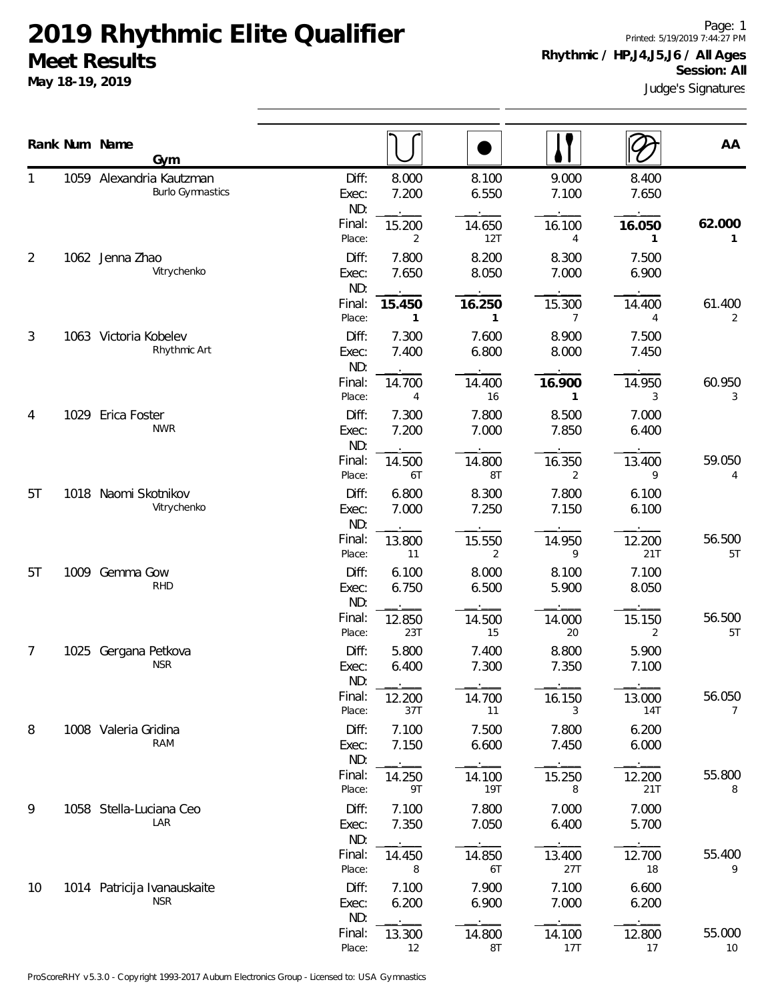**May 18-19, 2019**

Page: 1 Printed: 5/19/2019 7:44:27 PM **Rhythmic / HP,J4,J5,J6 / All Ages**

Judge's Signatures **Session: All**

|    |      | Rank Num Name<br>Gym                                |                                           |                                            |                                 |                                          |                                 | AA                       |
|----|------|-----------------------------------------------------|-------------------------------------------|--------------------------------------------|---------------------------------|------------------------------------------|---------------------------------|--------------------------|
|    |      | 1059 Alexandria Kautzman<br><b>Burlo Gymnastics</b> | Diff:<br>Exec:<br>ND:<br>Final:<br>Place: | 8.000<br>7.200<br>15.200<br>2              | 8.100<br>6.550<br>14.650<br>12T | 9.000<br>7.100<br>16.100<br>4            | 8.400<br>7.650<br>16.050<br>1   | 62.000<br>1              |
| 2  |      | 1062 Jenna Zhao<br>Vitrychenko                      | Diff:<br>Exec:<br>ND:<br>Final:           | 7.800<br>7.650<br>15.450                   | 8.200<br>8.050<br>16.250        | 8.300<br>7.000<br>15.300                 | 7.500<br>6.900<br>14.400        | 61.400                   |
| 3  |      | 1063 Victoria Kobelev<br>Rhythmic Art               | Place:<br>Diff:<br>Exec:<br>ND:           | 1<br>7.300<br>7.400                        | $\mathbf{1}$<br>7.600<br>6.800  | $\overline{7}$<br>8.900<br>8.000         | 4<br>7.500<br>7.450             | $\overline{2}$           |
| 4  | 1029 | Erica Foster<br><b>NWR</b>                          | Final:<br>Place:<br>Diff:<br>Exec:        | 14.700<br>$\overline{4}$<br>7.300<br>7.200 | 14.400<br>16<br>7.800<br>7.000  | 16.900<br>$\mathbf{1}$<br>8.500<br>7.850 | 14.950<br>3<br>7.000<br>6.400   | 60.950<br>3              |
| 5T |      | 1018 Naomi Skotnikov                                | ND:<br>Final:<br>Place:<br>Diff:          | 14.500<br>6T<br>6.800                      | 14.800<br>8T<br>8.300           | 16.350<br>2<br>7.800                     | 13.400<br>9<br>6.100            | 59.050<br>4              |
|    |      | Vitrychenko                                         | Exec:<br>ND:<br>Final:<br>Place:          | 7.000<br>13.800<br>11                      | 7.250<br>15.550<br>2            | 7.150<br>14.950<br>9                     | 6.100<br>12.200<br>21T          | 56.500<br>5T             |
| 5T |      | 1009 Gemma Gow<br><b>RHD</b>                        | Diff:<br>Exec:<br>ND:<br>Final:           | 6.100<br>6.750<br>12.850                   | 8.000<br>6.500<br>14.500        | 8.100<br>5.900<br>14.000                 | 7.100<br>8.050<br>15.150        | 56.500                   |
| 7  | 1025 | Gergana Petkova<br><b>NSR</b>                       | Place:<br>Diff:<br>Exec:<br>ND:           | 23T<br>5.800<br>6.400                      | 15<br>7.400<br>7.300            | 20<br>8.800<br>7.350                     | 2<br>5.900<br>7.100             | 5T                       |
| 8  |      | 1008 Valeria Gridina<br>RAM                         | Final:<br>Place:<br>Diff:<br>Exec:        | 12.200<br>37T<br>7.100<br>7.150            | 14.700<br>11<br>7.500<br>6.600  | 16.150<br>3<br>7.800<br>7.450            | 13.000<br>14T<br>6.200<br>6.000 | 56.050<br>$\overline{7}$ |
|    |      |                                                     | ND:<br>Final:<br>Place:                   | 14.250<br>9T                               | 14.100<br>19T                   | 15.250<br>8                              | 12.200<br>21T                   | 55.800<br>8              |
| 9  |      | 1058 Stella-Luciana Ceo<br>LAR                      | Diff:<br>Exec:<br>ND:<br>Final:           | 7.100<br>7.350<br>14.450                   | 7.800<br>7.050<br>14.850        | 7.000<br>6.400<br>13.400                 | 7.000<br>5.700<br>12.700        | 55.400                   |
| 10 |      | 1014 Patricija Ivanauskaite<br><b>NSR</b>           | Place:<br>Diff:<br>Exec:<br>ND:           | 8<br>7.100<br>6.200                        | 6T<br>7.900<br>6.900            | 27T<br>7.100<br>7.000                    | 18<br>6.600<br>6.200            | 9                        |
|    |      |                                                     | Final:<br>Place:                          | 13.300<br>12                               | 14.800<br>8T                    | 14.100<br>17T                            | 12.800<br>17                    | 55.000<br>10             |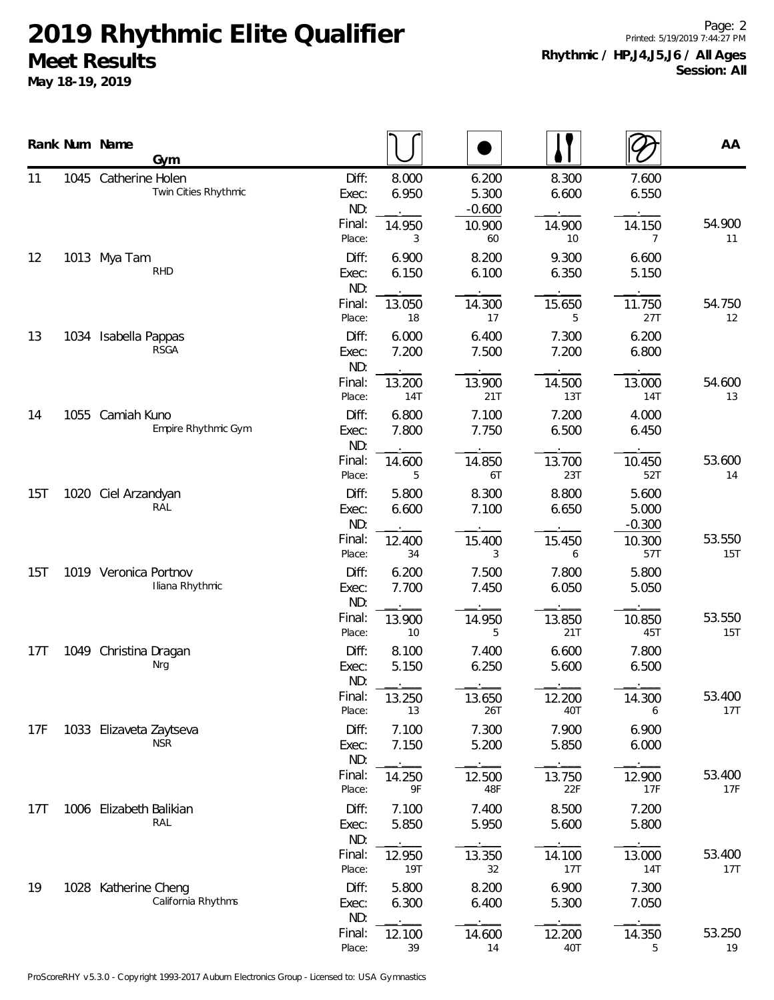**May 18-19, 2019**

Page: 2 Printed: 5/19/2019 7:44:27 PM **Rhythmic / HP,J4,J5,J6 / All Ages Session: All**

|                 |      | Rank Num Name<br>Gym                     |                      |                                 |                          |                                      |                          |                                      | AA            |
|-----------------|------|------------------------------------------|----------------------|---------------------------------|--------------------------|--------------------------------------|--------------------------|--------------------------------------|---------------|
| 11              |      | 1045 Catherine Holen                     | Twin Cities Rhythmic | Diff:<br>Exec:<br>ND:<br>Final: | 8.000<br>6.950<br>14.950 | 6.200<br>5.300<br>$-0.600$<br>10.900 | 8.300<br>6.600<br>14.900 | 7.600<br>6.550<br>14.150             | 54.900        |
| 12              |      | 1013 Mya Tam<br><b>RHD</b>               |                      | Place:<br>Diff:<br>Exec:<br>ND: | 3<br>6.900<br>6.150      | 60<br>8.200<br>6.100                 | 10<br>9.300<br>6.350     | $\overline{7}$<br>6.600<br>5.150     | 11            |
|                 |      |                                          |                      | Final:<br>Place:                | 13.050<br>18             | 14.300<br>17                         | 15.650<br>5              | 11.750<br>27T                        | 54.750<br>12  |
| 13              |      | 1034 Isabella Pappas<br>RSGA             |                      | Diff:<br>Exec:<br>ND:           | 6.000<br>7.200           | 6.400<br>7.500                       | 7.300<br>7.200           | 6.200<br>6.800                       |               |
|                 |      |                                          |                      | Final:<br>Place:                | 13.200<br><b>14T</b>     | 13.900<br>21T                        | 14.500<br>13T            | 13.000<br>14T                        | 54.600<br>13  |
| 14              |      | 1055 Camiah Kuno                         | Empire Rhythmic Gym  | Diff:<br>Exec:<br>ND:           | 6.800<br>7.800           | 7.100<br>7.750                       | 7.200<br>6.500           | 4.000<br>6.450                       |               |
|                 |      |                                          |                      | Final:<br>Place:                | 14.600<br>5              | 14.850<br>6T                         | 13.700<br>23T            | 10.450<br>52T                        | 53.600<br>14  |
| 15T             | 1020 | Ciel Arzandyan<br>RAL                    |                      | Diff:<br>Exec:<br>ND:<br>Final: | 5.800<br>6.600<br>12.400 | 8.300<br>7.100<br>15.400             | 8.800<br>6.650<br>15.450 | 5.600<br>5.000<br>$-0.300$<br>10.300 | 53.550        |
| 15T             |      | 1019 Veronica Portnov<br>Iliana Rhythmic |                      | Place:<br>Diff:<br>Exec:        | 34<br>6.200<br>7.700     | 3<br>7.500<br>7.450                  | 6<br>7.800<br>6.050      | 57T<br>5.800<br>5.050                | 15T           |
|                 |      |                                          |                      | ND:<br>Final:<br>Place:         | 13.900<br>10             | 14.950<br>5                          | 13.850<br>21T            | 10.850<br>45T                        | 53.550<br>15T |
| 17 <sub>T</sub> |      | 1049 Christina Dragan<br>Nrg             |                      | Diff:<br>Exec:<br>ND:           | 8.100<br>5.150           | 7.400<br>6.250                       | 6.600<br>5.600           | 7.800<br>6.500                       |               |
|                 |      |                                          |                      | Final:<br>Place:                | 13.250<br>13             | 13.650<br>26T                        | 12.200<br>40T            | 14.300<br>6                          | 53.400<br>17T |
| 17F             |      | 1033 Elizaveta Zaytseva<br><b>NSR</b>    |                      | Diff:<br>Exec:<br>ND:           | 7.100<br>7.150           | 7.300<br>5.200                       | 7.900<br>5.850           | 6.900<br>6.000                       |               |
|                 |      |                                          |                      | Final:<br>Place:                | 14.250<br>9F             | 12.500<br>48F                        | 13.750<br>22F            | 12.900<br>17F                        | 53.400<br>17F |
| 17T             |      | 1006 Elizabeth Balikian<br>RAL           |                      | Diff:<br>Exec:<br>ND:           | 7.100<br>5.850           | 7.400<br>5.950                       | 8.500<br>5.600           | 7.200<br>5.800                       |               |
|                 |      |                                          |                      | Final:<br>Place:                | 12.950<br><b>19T</b>     | 13.350<br>32                         | 14.100<br>17T            | 13.000<br>14T                        | 53.400<br>17T |
| 19              |      | 1028 Katherine Cheng                     | California Rhythms   | Diff:<br>Exec:<br>ND:           | 5.800<br>6.300           | 8.200<br>6.400                       | 6.900<br>5.300           | 7.300<br>7.050                       |               |
|                 |      |                                          |                      | Final:<br>Place:                | 12.100<br>39             | 14.600<br>14                         | 12.200<br>40T            | 14.350<br>5                          | 53.250<br>19  |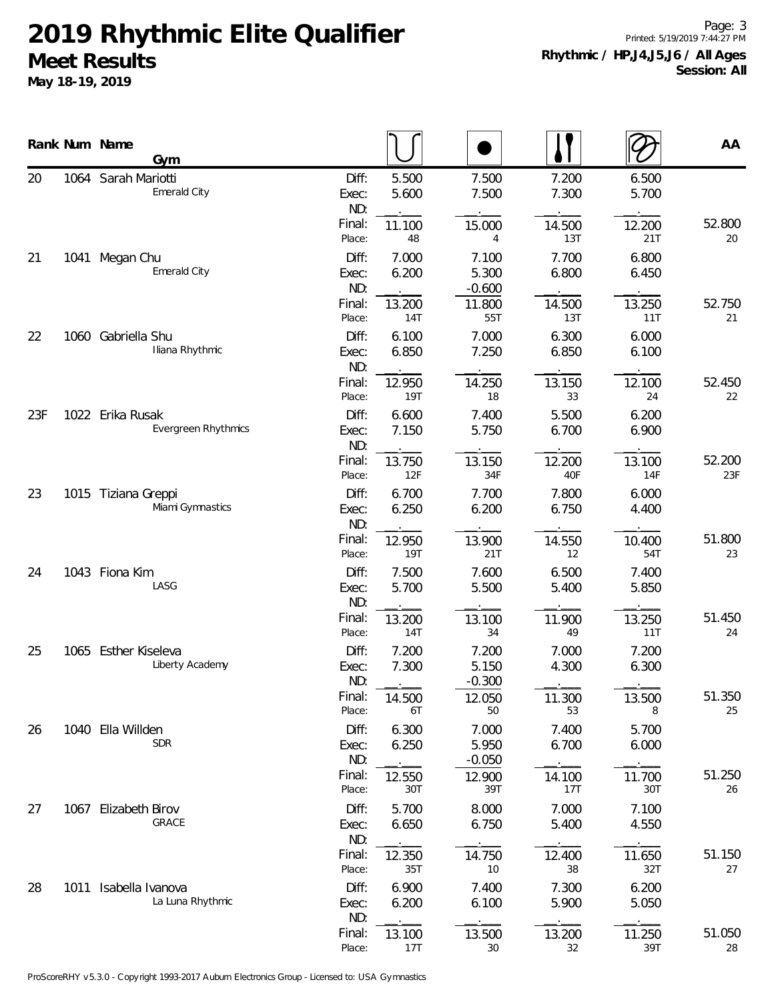**May 18-19, 2019**

Page: 3 Printed: 5/19/2019 7:44:27 PM **Rhythmic / HP,J4,J5,J6 / All Ages Session: All**

|     |      | Rank Num Name<br>Gym                    |                       |                |                            |                |                | AA            |
|-----|------|-----------------------------------------|-----------------------|----------------|----------------------------|----------------|----------------|---------------|
| 20  |      | 1064 Sarah Mariotti<br>Emerald City     | Diff:<br>Exec:<br>ND: | 5.500<br>5.600 | 7.500<br>7.500             | 7.200<br>7.300 | 6.500<br>5.700 |               |
|     |      |                                         | Final:<br>Place:      | 11.100<br>48   | 15.000<br>4                | 14.500<br>13T  | 12.200<br>21T  | 52.800<br>20  |
| 21  | 1041 | Megan Chu<br>Emerald City               | Diff:<br>Exec:<br>ND: | 7.000<br>6.200 | 7.100<br>5.300<br>$-0.600$ | 7.700<br>6.800 | 6.800<br>6.450 |               |
|     |      |                                         | Final:<br>Place:      | 13.200<br>14T  | 11.800<br>55T              | 14.500<br>13T  | 13.250<br>11T  | 52.750<br>21  |
| 22  |      | 1060 Gabriella Shu<br>Iliana Rhythmic   | Diff:<br>Exec:<br>ND: | 6.100<br>6.850 | 7.000<br>7.250             | 6.300<br>6.850 | 6.000<br>6.100 |               |
|     |      |                                         | Final:<br>Place:      | 12.950<br>19T  | 14.250<br>18               | 13.150<br>33   | 12.100<br>24   | 52.450<br>22  |
| 23F |      | 1022 Erika Rusak<br>Evergreen Rhythmics | Diff:<br>Exec:<br>ND: | 6.600<br>7.150 | 7.400<br>5.750             | 5.500<br>6.700 | 6.200<br>6.900 |               |
|     |      |                                         | Final:<br>Place:      | 13.750<br>12F  | 13.150<br>34F              | 12.200<br>40F  | 13.100<br>14F  | 52.200<br>23F |
| 23  |      | 1015 Tiziana Greppi<br>Miami Gymnastics | Diff:<br>Exec:<br>ND: | 6.700<br>6.250 | 7.700<br>6.200             | 7.800<br>6.750 | 6.000<br>4.400 |               |
|     |      |                                         | Final:<br>Place:      | 12.950<br>19T  | 13.900<br>21T              | 14.550<br>12   | 10.400<br>54T  | 51.800<br>23  |
| 24  |      | 1043 Fiona Kim<br>LASG                  | Diff:<br>Exec:<br>ND: | 7.500<br>5.700 | 7.600<br>5.500             | 6.500<br>5.400 | 7.400<br>5.850 |               |
|     |      |                                         | Final:<br>Place:      | 13.200<br>14T  | 13.100<br>34               | 11.900<br>49   | 13.250<br>11T  | 51.450<br>24  |
| 25  |      | 1065 Esther Kiseleva<br>Liberty Academy | Diff:<br>Exec:<br>ND: | 7.200<br>7.300 | 7.200<br>5.150<br>$-0.300$ | 7.000<br>4.300 | 7.200<br>6.300 |               |
|     |      |                                         | Final:<br>Place:      | 14.500<br>6T   | 12.050<br>50               | 11.300<br>53   | 13.500<br>8    | 51.350<br>25  |
| 26  |      | 1040 Ella Willden<br><b>SDR</b>         | Diff:<br>Exec:<br>ND: | 6.300<br>6.250 | 7.000<br>5.950<br>$-0.050$ | 7.400<br>6.700 | 5.700<br>6.000 |               |
|     |      |                                         | Final:<br>Place:      | 12.550<br>30T  | 12.900<br>39T              | 14.100<br>17T  | 11.700<br>30T  | 51.250<br>26  |
| 27  |      | 1067 Elizabeth Birov<br>GRACE           | Diff:<br>Exec:<br>ND: | 5.700<br>6.650 | 8.000<br>6.750             | 7.000<br>5.400 | 7.100<br>4.550 |               |
|     |      |                                         | Final:<br>Place:      | 12.350<br>35T  | 14.750<br>10               | 12.400<br>38   | 11.650<br>32T  | 51.150<br>27  |
| 28  | 1011 | Isabella Ivanova<br>La Luna Rhythmic    | Diff:<br>Exec:<br>ND: | 6.900<br>6.200 | 7.400<br>6.100             | 7.300<br>5.900 | 6.200<br>5.050 |               |
|     |      |                                         | Final:<br>Place:      | 13.100<br>17T  | 13.500<br>30               | 13.200<br>32   | 11.250<br>39T  | 51.050<br>28  |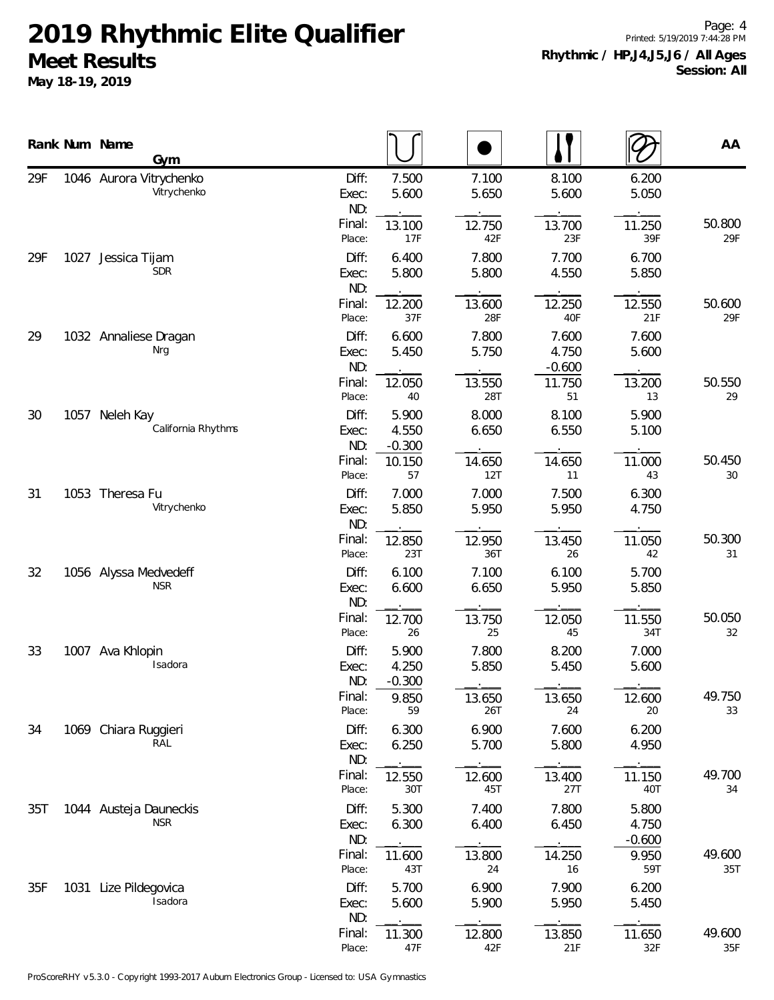**May 18-19, 2019**

Page: 4 Printed: 5/19/2019 7:44:28 PM **Rhythmic / HP,J4,J5,J6 / All Ages Session: All**

|     |      | Rank Num Name<br>Gym                   |                       |                            |                |                            |                            | AA            |
|-----|------|----------------------------------------|-----------------------|----------------------------|----------------|----------------------------|----------------------------|---------------|
| 29F |      | 1046 Aurora Vitrychenko<br>Vitrychenko | Diff:<br>Exec:<br>ND: | 7.500<br>5.600             | 7.100<br>5.650 | 8.100<br>5.600             | 6.200<br>5.050             |               |
|     |      |                                        | Final:<br>Place:      | 13.100<br>17F              | 12.750<br>42F  | 13.700<br>23F              | 11.250<br>39F              | 50.800<br>29F |
| 29F | 1027 | Jessica Tijam<br><b>SDR</b>            | Diff:<br>Exec:<br>ND: | 6.400<br>5.800             | 7.800<br>5.800 | 7.700<br>4.550             | 6.700<br>5.850             |               |
|     |      |                                        | Final:<br>Place:      | 12.200<br>37F              | 13.600<br>28F  | 12.250<br>40F              | 12.550<br>21F              | 50.600<br>29F |
| 29  |      | 1032 Annaliese Dragan<br>Nrg           | Diff:<br>Exec:<br>ND: | 6.600<br>5.450             | 7.800<br>5.750 | 7.600<br>4.750<br>$-0.600$ | 7.600<br>5.600             |               |
|     |      |                                        | Final:<br>Place:      | 12.050<br>40               | 13.550<br>28T  | 11.750<br>51               | 13.200<br>13               | 50.550<br>29  |
| 30  |      | 1057 Neleh Kay<br>California Rhythms   | Diff:<br>Exec:<br>ND: | 5.900<br>4.550<br>$-0.300$ | 8.000<br>6.650 | 8.100<br>6.550             | 5.900<br>5.100             |               |
|     |      |                                        | Final:<br>Place:      | 10.150<br>57               | 14.650<br>12T  | 14.650<br>11               | 11.000<br>43               | 50.450<br>30  |
| 31  |      | 1053 Theresa Fu<br>Vitrychenko         | Diff:<br>Exec:<br>ND: | 7.000<br>5.850             | 7.000<br>5.950 | 7.500<br>5.950             | 6.300<br>4.750             |               |
|     |      |                                        | Final:<br>Place:      | 12.850<br>23T              | 12.950<br>36T  | 13.450<br>26               | 11.050<br>42               | 50.300<br>31  |
| 32  |      | 1056 Alyssa Medvedeff<br><b>NSR</b>    | Diff:<br>Exec:<br>ND: | 6.100<br>6.600             | 7.100<br>6.650 | 6.100<br>5.950             | 5.700<br>5.850             |               |
|     |      |                                        | Final:<br>Place:      | 12.700<br>26               | 13.750<br>25   | 12.050<br>45               | 11.550<br>34T              | 50.050<br>32  |
| 33  |      | 1007 Ava Khlopin<br>Isadora            | Diff:<br>Exec:<br>ND: | 5.900<br>4.250<br>$-0.300$ | 7.800<br>5.850 | 8.200<br>5.450             | 7.000<br>5.600             |               |
|     |      |                                        | Final:<br>Place:      | 9.850<br>59                | 13.650<br>26T  | 13.650<br>24               | 12.600<br>20               | 49.750<br>33  |
| 34  |      | 1069 Chiara Ruggieri<br>RAL            | Diff:<br>Exec:<br>ND: | 6.300<br>6.250             | 6.900<br>5.700 | 7.600<br>5.800             | 6.200<br>4.950             |               |
|     |      |                                        | Final:<br>Place:      | 12.550<br>30T              | 12.600<br>45T  | 13.400<br>27T              | 11.150<br>40T              | 49.700<br>34  |
| 35T |      | 1044 Austeja Dauneckis<br><b>NSR</b>   | Diff:<br>Exec:<br>ND: | 5.300<br>6.300             | 7.400<br>6.400 | 7.800<br>6.450             | 5.800<br>4.750<br>$-0.600$ |               |
|     |      |                                        | Final:<br>Place:      | 11.600<br>43T              | 13.800<br>24   | 14.250<br>16               | 9.950<br>59T               | 49.600<br>35T |
| 35F |      | 1031 Lize Pildegovica<br>Isadora       | Diff:<br>Exec:<br>ND: | 5.700<br>5.600             | 6.900<br>5.900 | 7.900<br>5.950             | 6.200<br>5.450             |               |
|     |      |                                        | Final:<br>Place:      | 11.300<br>47F              | 12.800<br>42F  | 13.850<br>21F              | 11.650<br>32F              | 49.600<br>35F |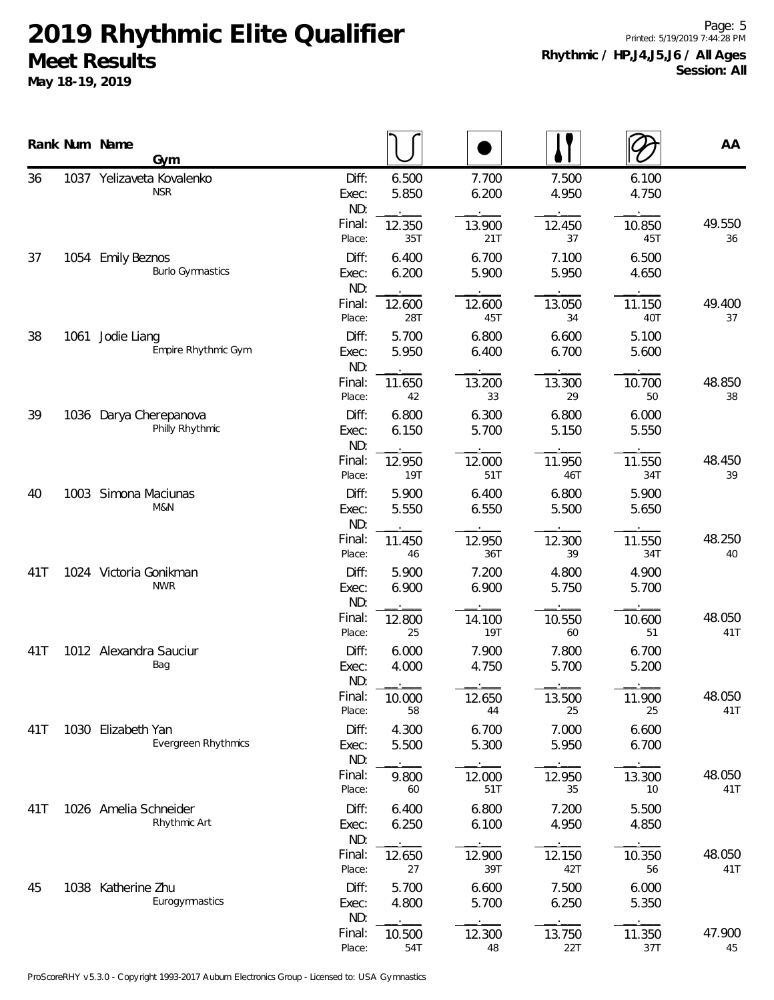**May 18-19, 2019**

Page: 5 Printed: 5/19/2019 7:44:28 PM **Rhythmic / HP,J4,J5,J6 / All Ages Session: All**

|     |      | Rank Num Name<br>Gym                         |                       |                |                      |                |                | AA            |
|-----|------|----------------------------------------------|-----------------------|----------------|----------------------|----------------|----------------|---------------|
| 36  |      | 1037 Yelizaveta Kovalenko<br><b>NSR</b>      | Diff:<br>Exec:<br>ND: | 6.500<br>5.850 | 7.700<br>6.200       | 7.500<br>4.950 | 6.100<br>4.750 |               |
|     |      |                                              | Final:<br>Place:      | 12.350<br>35T  | 13.900<br>21T        | 12.450<br>37   | 10.850<br>45T  | 49.550<br>36  |
| 37  |      | 1054 Emily Beznos<br><b>Burlo Gymnastics</b> | Diff:<br>Exec:<br>ND: | 6.400<br>6.200 | 6.700<br>5.900       | 7.100<br>5.950 | 6.500<br>4.650 |               |
|     |      |                                              | Final:<br>Place:      | 12.600<br>28T  | 12.600<br>45T        | 13.050<br>34   | 11.150<br>40T  | 49.400<br>37  |
| 38  |      | 1061 Jodie Liang<br>Empire Rhythmic Gym      | Diff:<br>Exec:<br>ND: | 5.700<br>5.950 | 6.800<br>6.400       | 6.600<br>6.700 | 5.100<br>5.600 |               |
|     |      |                                              | Final:<br>Place:      | 11.650<br>42   | 13.200<br>33         | 13.300<br>29   | 10.700<br>50   | 48.850<br>38  |
| 39  |      | 1036 Darya Cherepanova<br>Philly Rhythmic    | Diff:<br>Exec:<br>ND: | 6.800<br>6.150 | 6.300<br>5.700       | 6.800<br>5.150 | 6.000<br>5.550 |               |
|     |      |                                              | Final:<br>Place:      | 12.950<br>19T  | 12.000<br>51T        | 11.950<br>46T  | 11.550<br>34T  | 48.450<br>39  |
| 40  | 1003 | Simona Maciunas<br>M&N                       | Diff:<br>Exec:<br>ND: | 5.900<br>5.550 | 6.400<br>6.550       | 6.800<br>5.500 | 5.900<br>5.650 |               |
|     |      |                                              | Final:<br>Place:      | 11.450<br>46   | 12.950<br>36T        | 12.300<br>39   | 11.550<br>34T  | 48.250<br>40  |
| 41T |      | 1024 Victoria Gonikman<br><b>NWR</b>         | Diff:<br>Exec:<br>ND: | 5.900<br>6.900 | 7.200<br>6.900       | 4.800<br>5.750 | 4.900<br>5.700 |               |
|     |      |                                              | Final:<br>Place:      | 12.800<br>25   | 14.100<br><b>19T</b> | 10.550<br>60   | 10.600<br>51   | 48.050<br>41T |
| 41T |      | 1012 Alexandra Sauciur<br>Bag                | Diff:<br>Exec:<br>ND: | 6.000<br>4.000 | 7.900<br>4.750       | 7.800<br>5.700 | 6.700<br>5.200 |               |
|     |      |                                              | Final:<br>Place:      | 10.000<br>58   | 12.650<br>44         | 13.500<br>25   | 11.900<br>25   | 48.050<br>41T |
| 41T |      | 1030 Elizabeth Yan<br>Evergreen Rhythmics    | Diff:<br>Exec:<br>ND: | 4.300<br>5.500 | 6.700<br>5.300       | 7.000<br>5.950 | 6.600<br>6.700 |               |
|     |      |                                              | Final:<br>Place:      | 9.800<br>60    | 12.000<br>51T        | 12.950<br>35   | 13.300<br>10   | 48.050<br>41T |
| 41T |      | 1026 Amelia Schneider<br>Rhythmic Art        | Diff:<br>Exec:<br>ND: | 6.400<br>6.250 | 6.800<br>6.100       | 7.200<br>4.950 | 5.500<br>4.850 |               |
|     |      |                                              | Final:<br>Place:      | 12.650<br>27   | 12.900<br>39T        | 12.150<br>42T  | 10.350<br>56   | 48.050<br>41T |
| 45  |      | 1038 Katherine Zhu<br>Eurogymnastics         | Diff:<br>Exec:<br>ND: | 5.700<br>4.800 | 6.600<br>5.700       | 7.500<br>6.250 | 6.000<br>5.350 |               |
|     |      |                                              | Final:<br>Place:      | 10.500<br>54T  | 12.300<br>48         | 13.750<br>22T  | 11.350<br>37T  | 47.900<br>45  |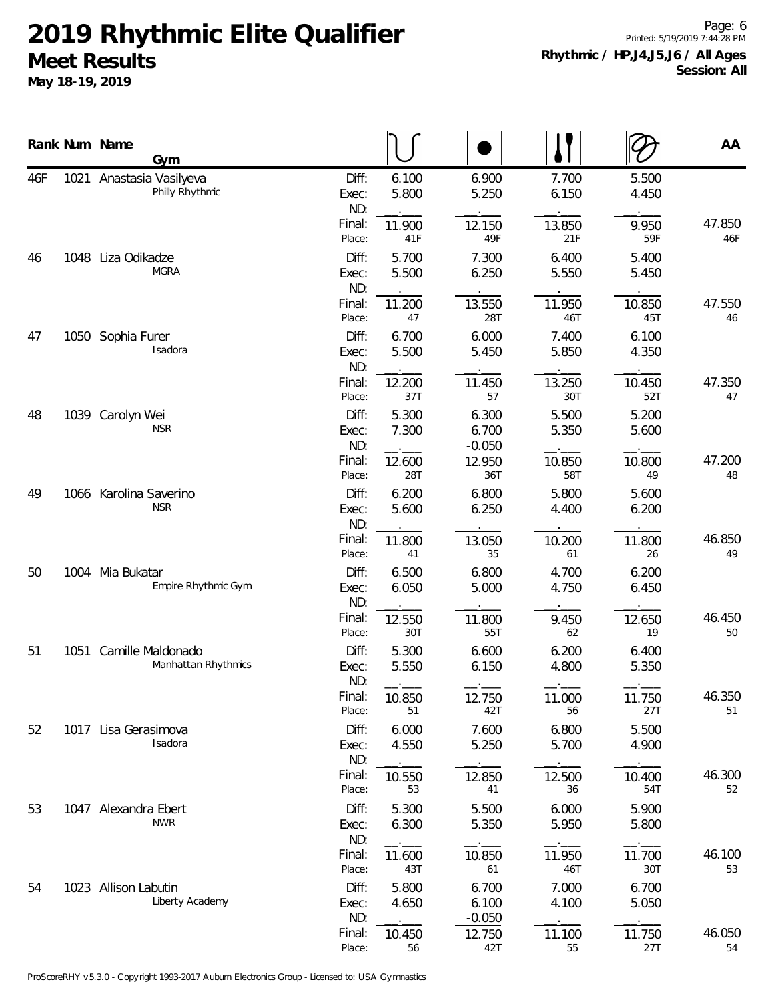**May 18-19, 2019**

Page: 6 Printed: 5/19/2019 7:44:28 PM **Rhythmic / HP,J4,J5,J6 / All Ages Session: All**

|     |      | Rank Num Name<br>Gym                        |                       |                |                            |                |                | AA            |
|-----|------|---------------------------------------------|-----------------------|----------------|----------------------------|----------------|----------------|---------------|
| 46F |      | 1021 Anastasia Vasilyeva<br>Philly Rhythmic | Diff:<br>Exec:<br>ND: | 6.100<br>5.800 | 6.900<br>5.250             | 7.700<br>6.150 | 5.500<br>4.450 |               |
|     |      |                                             | Final:<br>Place:      | 11.900<br>41F  | 12.150<br>49F              | 13.850<br>21F  | 9.950<br>59F   | 47.850<br>46F |
| 46  | 1048 | Liza Odikadze<br><b>MGRA</b>                | Diff:<br>Exec:<br>ND: | 5.700<br>5.500 | 7.300<br>6.250             | 6.400<br>5.550 | 5.400<br>5.450 |               |
|     |      |                                             | Final:<br>Place:      | 11.200<br>47   | 13.550<br>28T              | 11.950<br>46T  | 10.850<br>45T  | 47.550<br>46  |
| 47  |      | 1050 Sophia Furer<br>Isadora                | Diff:<br>Exec:<br>ND: | 6.700<br>5.500 | 6.000<br>5.450             | 7.400<br>5.850 | 6.100<br>4.350 |               |
|     |      |                                             | Final:<br>Place:      | 12.200<br>37T  | 11.450<br>57               | 13.250<br>30T  | 10.450<br>52T  | 47.350<br>47  |
| 48  | 1039 | Carolyn Wei<br><b>NSR</b>                   | Diff:<br>Exec:<br>ND: | 5.300<br>7.300 | 6.300<br>6.700<br>$-0.050$ | 5.500<br>5.350 | 5.200<br>5.600 |               |
|     |      |                                             | Final:<br>Place:      | 12.600<br>28T  | 12.950<br>36T              | 10.850<br>58T  | 10.800<br>49   | 47.200<br>48  |
| 49  |      | 1066 Karolina Saverino<br><b>NSR</b>        | Diff:<br>Exec:<br>ND: | 6.200<br>5.600 | 6.800<br>6.250             | 5.800<br>4.400 | 5.600<br>6.200 |               |
|     |      |                                             | Final:<br>Place:      | 11.800<br>41   | 13.050<br>35               | 10.200<br>61   | 11.800<br>26   | 46.850<br>49  |
| 50  |      | 1004 Mia Bukatar<br>Empire Rhythmic Gym     | Diff:<br>Exec:<br>ND: | 6.500<br>6.050 | 6.800<br>5.000             | 4.700<br>4.750 | 6.200<br>6.450 |               |
|     |      |                                             | Final:<br>Place:      | 12.550<br>30T  | 11.800<br>55T              | 9.450<br>62    | 12.650<br>19   | 46.450<br>50  |
| 51  | 1051 | Camille Maldonado<br>Manhattan Rhythmics    | Diff:<br>Exec:<br>ND: | 5.300<br>5.550 | 6.600<br>6.150             | 6.200<br>4.800 | 6.400<br>5.350 |               |
|     |      |                                             | Final:<br>Place:      | 10.850<br>51   | 12.750<br>42T              | 11.000<br>56   | 11.750<br>27T  | 46.350<br>51  |
| 52  | 1017 | Lisa Gerasimova<br>Isadora                  | Diff:<br>Exec:<br>ND: | 6.000<br>4.550 | 7.600<br>5.250             | 6.800<br>5.700 | 5.500<br>4.900 |               |
|     |      |                                             | Final:<br>Place:      | 10.550<br>53   | 12.850<br>41               | 12.500<br>36   | 10.400<br>54T  | 46.300<br>52  |
| 53  |      | 1047 Alexandra Ebert<br><b>NWR</b>          | Diff:<br>Exec:<br>ND: | 5.300<br>6.300 | 5.500<br>5.350             | 6.000<br>5.950 | 5.900<br>5.800 |               |
|     |      |                                             | Final:<br>Place:      | 11.600<br>43T  | 10.850<br>61               | 11.950<br>46T  | 11.700<br>30T  | 46.100<br>53  |
| 54  |      | 1023 Allison Labutin<br>Liberty Academy     | Diff:<br>Exec:<br>ND: | 5.800<br>4.650 | 6.700<br>6.100<br>$-0.050$ | 7.000<br>4.100 | 6.700<br>5.050 |               |
|     |      |                                             | Final:<br>Place:      | 10.450<br>56   | 12.750<br>42T              | 11.100<br>55   | 11.750<br>27T  | 46.050<br>54  |